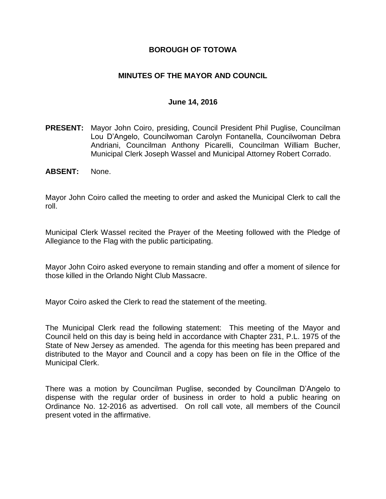### **BOROUGH OF TOTOWA**

### **MINUTES OF THE MAYOR AND COUNCIL**

#### **June 14, 2016**

- **PRESENT:** Mayor John Coiro, presiding, Council President Phil Puglise, Councilman Lou D'Angelo, Councilwoman Carolyn Fontanella, Councilwoman Debra Andriani, Councilman Anthony Picarelli, Councilman William Bucher, Municipal Clerk Joseph Wassel and Municipal Attorney Robert Corrado.
- **ABSENT:** None.

Mayor John Coiro called the meeting to order and asked the Municipal Clerk to call the roll.

Municipal Clerk Wassel recited the Prayer of the Meeting followed with the Pledge of Allegiance to the Flag with the public participating.

Mayor John Coiro asked everyone to remain standing and offer a moment of silence for those killed in the Orlando Night Club Massacre.

Mayor Coiro asked the Clerk to read the statement of the meeting.

The Municipal Clerk read the following statement: This meeting of the Mayor and Council held on this day is being held in accordance with Chapter 231, P.L. 1975 of the State of New Jersey as amended. The agenda for this meeting has been prepared and distributed to the Mayor and Council and a copy has been on file in the Office of the Municipal Clerk.

There was a motion by Councilman Puglise, seconded by Councilman D'Angelo to dispense with the regular order of business in order to hold a public hearing on Ordinance No. 12-2016 as advertised. On roll call vote, all members of the Council present voted in the affirmative.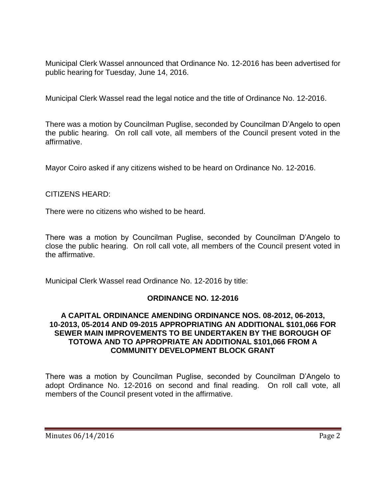Municipal Clerk Wassel announced that Ordinance No. 12-2016 has been advertised for public hearing for Tuesday, June 14, 2016.

Municipal Clerk Wassel read the legal notice and the title of Ordinance No. 12-2016.

There was a motion by Councilman Puglise, seconded by Councilman D'Angelo to open the public hearing. On roll call vote, all members of the Council present voted in the affirmative.

Mayor Coiro asked if any citizens wished to be heard on Ordinance No. 12-2016.

### CITIZENS HEARD:

There were no citizens who wished to be heard.

There was a motion by Councilman Puglise, seconded by Councilman D'Angelo to close the public hearing. On roll call vote, all members of the Council present voted in the affirmative.

Municipal Clerk Wassel read Ordinance No. 12-2016 by title:

#### **ORDINANCE NO. 12-2016**

#### **A CAPITAL ORDINANCE AMENDING ORDINANCE NOS. 08-2012, 06-2013, 10-2013, 05-2014 AND 09-2015 APPROPRIATING AN ADDITIONAL \$101,066 FOR SEWER MAIN IMPROVEMENTS TO BE UNDERTAKEN BY THE BOROUGH OF TOTOWA AND TO APPROPRIATE AN ADDITIONAL \$101,066 FROM A COMMUNITY DEVELOPMENT BLOCK GRANT**

There was a motion by Councilman Puglise, seconded by Councilman D'Angelo to adopt Ordinance No. 12-2016 on second and final reading. On roll call vote, all members of the Council present voted in the affirmative.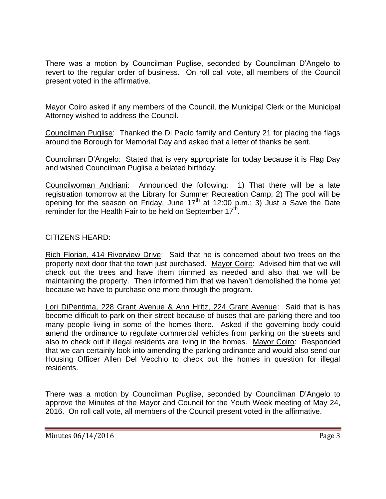There was a motion by Councilman Puglise, seconded by Councilman D'Angelo to revert to the regular order of business. On roll call vote, all members of the Council present voted in the affirmative.

Mayor Coiro asked if any members of the Council, the Municipal Clerk or the Municipal Attorney wished to address the Council.

Councilman Puglise: Thanked the Di Paolo family and Century 21 for placing the flags around the Borough for Memorial Day and asked that a letter of thanks be sent.

Councilman D'Angelo: Stated that is very appropriate for today because it is Flag Day and wished Councilman Puglise a belated birthday.

Councilwoman Andriani: Announced the following: 1) That there will be a late registration tomorrow at the Library for Summer Recreation Camp; 2) The pool will be opening for the season on Friday, June  $17<sup>th</sup>$  at 12:00 p.m.; 3) Just a Save the Date reminder for the Health Fair to be held on September  $17<sup>th</sup>$ .

### CITIZENS HEARD:

Rich Florian, 414 Riverview Drive: Said that he is concerned about two trees on the property next door that the town just purchased. Mayor Coiro: Advised him that we will check out the trees and have them trimmed as needed and also that we will be maintaining the property. Then informed him that we haven't demolished the home yet because we have to purchase one more through the program.

Lori DiPentima, 228 Grant Avenue & Ann Hritz, 224 Grant Avenue: Said that is has become difficult to park on their street because of buses that are parking there and too many people living in some of the homes there. Asked if the governing body could amend the ordinance to regulate commercial vehicles from parking on the streets and also to check out if illegal residents are living in the homes. Mayor Coiro: Responded that we can certainly look into amending the parking ordinance and would also send our Housing Officer Allen Del Vecchio to check out the homes in question for illegal residents.

There was a motion by Councilman Puglise, seconded by Councilman D'Angelo to approve the Minutes of the Mayor and Council for the Youth Week meeting of May 24, 2016. On roll call vote, all members of the Council present voted in the affirmative.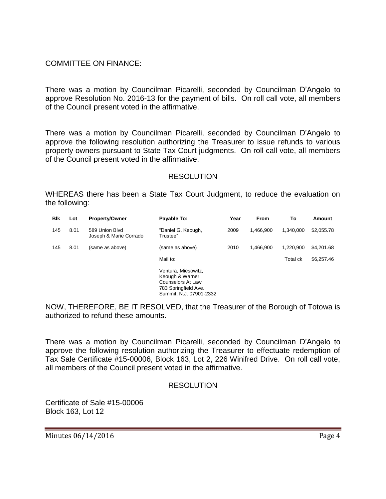### COMMITTEE ON FINANCE:

There was a motion by Councilman Picarelli, seconded by Councilman D'Angelo to approve Resolution No. 2016-13 for the payment of bills. On roll call vote, all members of the Council present voted in the affirmative.

There was a motion by Councilman Picarelli, seconded by Councilman D'Angelo to approve the following resolution authorizing the Treasurer to issue refunds to various property owners pursuant to State Tax Court judgments. On roll call vote, all members of the Council present voted in the affirmative.

#### RESOLUTION

WHEREAS there has been a State Tax Court Judgment, to reduce the evaluation on the following:

| <u>Bik</u> | <u>Lot</u> | <b>Property/Owner</b>                    | Payable To:                                                                                                           | Year | From      | <u>To</u>       | Amount     |
|------------|------------|------------------------------------------|-----------------------------------------------------------------------------------------------------------------------|------|-----------|-----------------|------------|
| 145        | 8.01       | 589 Union Blvd<br>Joseph & Marie Corrado | "Daniel G. Keough,<br>Trustee"                                                                                        | 2009 | 1.466.900 | 1.340.000       | \$2,055.78 |
| 145        | 8.01       | (same as above)                          | (same as above)                                                                                                       | 2010 | 1.466.900 | 1,220,900       | \$4,201.68 |
|            |            |                                          | Mail to:                                                                                                              |      |           | <b>Total ck</b> | \$6,257.46 |
|            |            |                                          | Ventura, Miesowitz,<br>Keough & Warner<br><b>Counselors At Law</b><br>783 Springfield Ave.<br>Summit, N.J. 07901-2332 |      |           |                 |            |

NOW, THEREFORE, BE IT RESOLVED, that the Treasurer of the Borough of Totowa is authorized to refund these amounts.

There was a motion by Councilman Picarelli, seconded by Councilman D'Angelo to approve the following resolution authorizing the Treasurer to effectuate redemption of Tax Sale Certificate #15-00006, Block 163, Lot 2, 226 Winifred Drive. On roll call vote, all members of the Council present voted in the affirmative.

#### **RESOLUTION**

Certificate of Sale #15-00006 Block 163, Lot 12

Minutes 06/14/2016 **Page 4**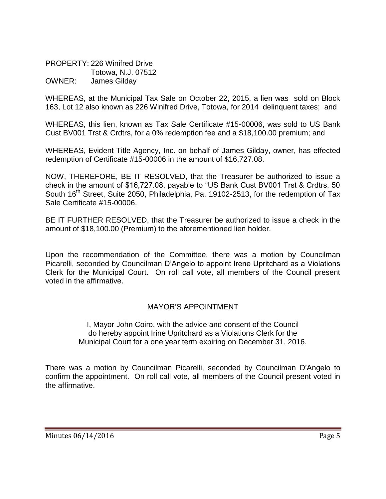PROPERTY: 226 Winifred Drive Totowa, N.J. 07512 OWNER: James Gilday

WHEREAS, at the Municipal Tax Sale on October 22, 2015, a lien was sold on Block 163, Lot 12 also known as 226 Winifred Drive, Totowa, for 2014 delinquent taxes; and

WHEREAS, this lien, known as Tax Sale Certificate #15-00006, was sold to US Bank Cust BV001 Trst & Crdtrs, for a 0% redemption fee and a \$18,100.00 premium; and

WHEREAS, Evident Title Agency, Inc. on behalf of James Gilday, owner, has effected redemption of Certificate #15-00006 in the amount of \$16,727.08.

NOW, THEREFORE, BE IT RESOLVED, that the Treasurer be authorized to issue a check in the amount of \$16,727.08, payable to "US Bank Cust BV001 Trst & Crdtrs, 50 South 16<sup>th</sup> Street, Suite 2050, Philadelphia, Pa. 19102-2513, for the redemption of Tax Sale Certificate #15-00006.

BE IT FURTHER RESOLVED, that the Treasurer be authorized to issue a check in the amount of \$18,100.00 (Premium) to the aforementioned lien holder.

Upon the recommendation of the Committee, there was a motion by Councilman Picarelli, seconded by Councilman D'Angelo to appoint Irene Upritchard as a Violations Clerk for the Municipal Court. On roll call vote, all members of the Council present voted in the affirmative.

# MAYOR'S APPOINTMENT

I, Mayor John Coiro, with the advice and consent of the Council do hereby appoint Irine Upritchard as a Violations Clerk for the Municipal Court for a one year term expiring on December 31, 2016.

There was a motion by Councilman Picarelli, seconded by Councilman D'Angelo to confirm the appointment. On roll call vote, all members of the Council present voted in the affirmative.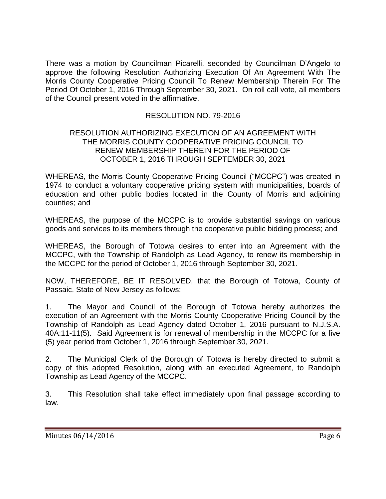There was a motion by Councilman Picarelli, seconded by Councilman D'Angelo to approve the following Resolution Authorizing Execution Of An Agreement With The Morris County Cooperative Pricing Council To Renew Membership Therein For The Period Of October 1, 2016 Through September 30, 2021. On roll call vote, all members of the Council present voted in the affirmative.

# RESOLUTION NO. 79-2016

#### RESOLUTION AUTHORIZING EXECUTION OF AN AGREEMENT WITH THE MORRIS COUNTY COOPERATIVE PRICING COUNCIL TO RENEW MEMBERSHIP THEREIN FOR THE PERIOD OF OCTOBER 1, 2016 THROUGH SEPTEMBER 30, 2021

WHEREAS, the Morris County Cooperative Pricing Council ("MCCPC") was created in 1974 to conduct a voluntary cooperative pricing system with municipalities, boards of education and other public bodies located in the County of Morris and adjoining counties; and

WHEREAS, the purpose of the MCCPC is to provide substantial savings on various goods and services to its members through the cooperative public bidding process; and

WHEREAS, the Borough of Totowa desires to enter into an Agreement with the MCCPC, with the Township of Randolph as Lead Agency, to renew its membership in the MCCPC for the period of October 1, 2016 through September 30, 2021.

NOW, THEREFORE, BE IT RESOLVED, that the Borough of Totowa, County of Passaic, State of New Jersey as follows:

1. The Mayor and Council of the Borough of Totowa hereby authorizes the execution of an Agreement with the Morris County Cooperative Pricing Council by the Township of Randolph as Lead Agency dated October 1, 2016 pursuant to N.J.S.A. 40A:11-11(5). Said Agreement is for renewal of membership in the MCCPC for a five (5) year period from October 1, 2016 through September 30, 2021.

2. The Municipal Clerk of the Borough of Totowa is hereby directed to submit a copy of this adopted Resolution, along with an executed Agreement, to Randolph Township as Lead Agency of the MCCPC.

3. This Resolution shall take effect immediately upon final passage according to law.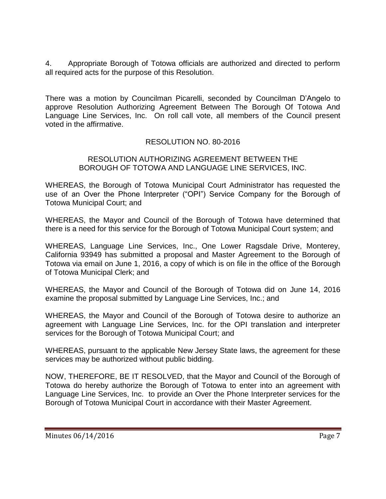4. Appropriate Borough of Totowa officials are authorized and directed to perform all required acts for the purpose of this Resolution.

There was a motion by Councilman Picarelli, seconded by Councilman D'Angelo to approve Resolution Authorizing Agreement Between The Borough Of Totowa And Language Line Services, Inc. On roll call vote, all members of the Council present voted in the affirmative.

# RESOLUTION NO. 80-2016

#### RESOLUTION AUTHORIZING AGREEMENT BETWEEN THE BOROUGH OF TOTOWA AND LANGUAGE LINE SERVICES, INC.

WHEREAS, the Borough of Totowa Municipal Court Administrator has requested the use of an Over the Phone Interpreter ("OPI") Service Company for the Borough of Totowa Municipal Court; and

WHEREAS, the Mayor and Council of the Borough of Totowa have determined that there is a need for this service for the Borough of Totowa Municipal Court system; and

WHEREAS, Language Line Services, Inc., One Lower Ragsdale Drive, Monterey, California 93949 has submitted a proposal and Master Agreement to the Borough of Totowa via email on June 1, 2016, a copy of which is on file in the office of the Borough of Totowa Municipal Clerk; and

WHEREAS, the Mayor and Council of the Borough of Totowa did on June 14, 2016 examine the proposal submitted by Language Line Services, Inc.; and

WHEREAS, the Mayor and Council of the Borough of Totowa desire to authorize an agreement with Language Line Services, Inc. for the OPI translation and interpreter services for the Borough of Totowa Municipal Court; and

WHEREAS, pursuant to the applicable New Jersey State laws, the agreement for these services may be authorized without public bidding.

NOW, THEREFORE, BE IT RESOLVED, that the Mayor and Council of the Borough of Totowa do hereby authorize the Borough of Totowa to enter into an agreement with Language Line Services, Inc. to provide an Over the Phone Interpreter services for the Borough of Totowa Municipal Court in accordance with their Master Agreement.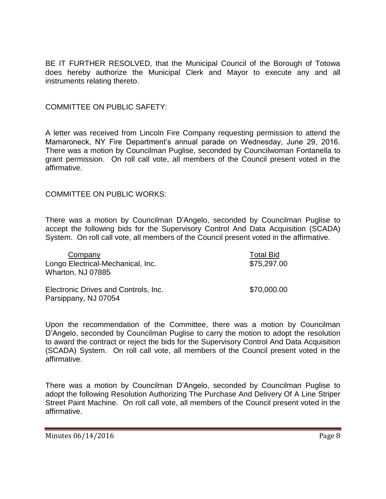BE IT FURTHER RESOLVED, that the Municipal Council of the Borough of Totowa does hereby authorize the Municipal Clerk and Mayor to execute any and all instruments relating thereto.

#### COMMITTEE ON PUBLIC SAFETY:

A letter was received from Lincoln Fire Company requesting permission to attend the Mamaroneck, NY Fire Department's annual parade on Wednesday, June 29, 2016. There was a motion by Councilman Puglise, seconded by Councilwoman Fontanella to grant permission. On roll call vote, all members of the Council present voted in the affirmative.

### COMMITTEE ON PUBLIC WORKS:

There was a motion by Councilman D'Angelo, seconded by Councilman Puglise to accept the following bids for the Supervisory Control And Data Acquisition (SCADA) System. On roll call vote, all members of the Council present voted in the affirmative.

| Company                              | <b>Total Bid</b> |
|--------------------------------------|------------------|
| Longo Electrical-Mechanical, Inc.    | \$75,297.00      |
| Wharton, NJ 07885                    |                  |
| Electronic Drives and Controls, Inc. | \$70,000.00      |
| Parsippany, NJ 07054                 |                  |

Upon the recommendation of the Committee, there was a motion by Councilman D'Angelo, seconded by Councilman Puglise to carry the motion to adopt the resolution to award the contract or reject the bids for the Supervisory Control And Data Acquisition (SCADA) System. On roll call vote, all members of the Council present voted in the affirmative.

There was a motion by Councilman D'Angelo, seconded by Councilman Puglise to adopt the following Resolution Authorizing The Purchase And Delivery Of A Line Striper Street Paint Machine. On roll call vote, all members of the Council present voted in the affirmative.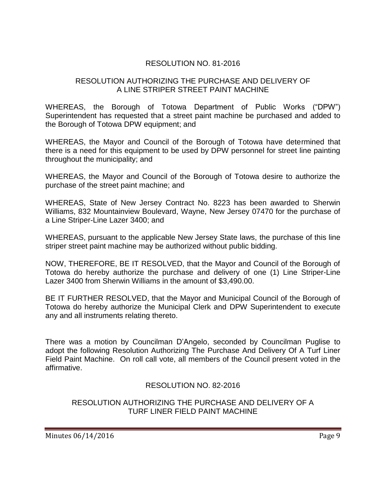# RESOLUTION NO. 81-2016

### RESOLUTION AUTHORIZING THE PURCHASE AND DELIVERY OF A LINE STRIPER STREET PAINT MACHINE

WHEREAS, the Borough of Totowa Department of Public Works ("DPW") Superintendent has requested that a street paint machine be purchased and added to the Borough of Totowa DPW equipment; and

WHEREAS, the Mayor and Council of the Borough of Totowa have determined that there is a need for this equipment to be used by DPW personnel for street line painting throughout the municipality; and

WHEREAS, the Mayor and Council of the Borough of Totowa desire to authorize the purchase of the street paint machine; and

WHEREAS, State of New Jersey Contract No. 8223 has been awarded to Sherwin Williams, 832 Mountainview Boulevard, Wayne, New Jersey 07470 for the purchase of a Line Striper-Line Lazer 3400; and

WHEREAS, pursuant to the applicable New Jersey State laws, the purchase of this line striper street paint machine may be authorized without public bidding.

NOW, THEREFORE, BE IT RESOLVED, that the Mayor and Council of the Borough of Totowa do hereby authorize the purchase and delivery of one (1) Line Striper-Line Lazer 3400 from Sherwin Williams in the amount of \$3,490.00.

BE IT FURTHER RESOLVED, that the Mayor and Municipal Council of the Borough of Totowa do hereby authorize the Municipal Clerk and DPW Superintendent to execute any and all instruments relating thereto.

There was a motion by Councilman D'Angelo, seconded by Councilman Puglise to adopt the following Resolution Authorizing The Purchase And Delivery Of A Turf Liner Field Paint Machine. On roll call vote, all members of the Council present voted in the affirmative.

# RESOLUTION NO. 82-2016

### RESOLUTION AUTHORIZING THE PURCHASE AND DELIVERY OF A TURF LINER FIELD PAINT MACHINE

Minutes 06/14/2016 **Page 9**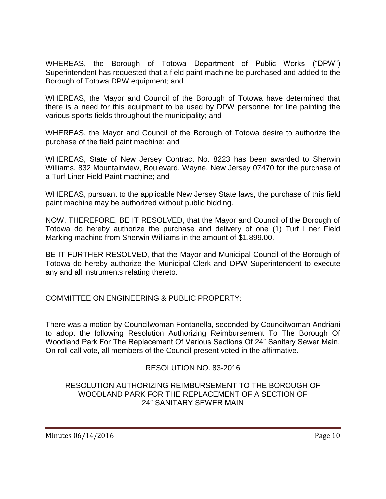WHEREAS, the Borough of Totowa Department of Public Works ("DPW") Superintendent has requested that a field paint machine be purchased and added to the Borough of Totowa DPW equipment; and

WHEREAS, the Mayor and Council of the Borough of Totowa have determined that there is a need for this equipment to be used by DPW personnel for line painting the various sports fields throughout the municipality; and

WHEREAS, the Mayor and Council of the Borough of Totowa desire to authorize the purchase of the field paint machine; and

WHEREAS, State of New Jersey Contract No. 8223 has been awarded to Sherwin Williams, 832 Mountainview, Boulevard, Wayne, New Jersey 07470 for the purchase of a Turf Liner Field Paint machine; and

WHEREAS, pursuant to the applicable New Jersey State laws, the purchase of this field paint machine may be authorized without public bidding.

NOW, THEREFORE, BE IT RESOLVED, that the Mayor and Council of the Borough of Totowa do hereby authorize the purchase and delivery of one (1) Turf Liner Field Marking machine from Sherwin Williams in the amount of \$1,899.00.

BE IT FURTHER RESOLVED, that the Mayor and Municipal Council of the Borough of Totowa do hereby authorize the Municipal Clerk and DPW Superintendent to execute any and all instruments relating thereto.

COMMITTEE ON ENGINEERING & PUBLIC PROPERTY:

There was a motion by Councilwoman Fontanella, seconded by Councilwoman Andriani to adopt the following Resolution Authorizing Reimbursement To The Borough Of Woodland Park For The Replacement Of Various Sections Of 24" Sanitary Sewer Main. On roll call vote, all members of the Council present voted in the affirmative.

# RESOLUTION NO. 83-2016

### RESOLUTION AUTHORIZING REIMBURSEMENT TO THE BOROUGH OF WOODLAND PARK FOR THE REPLACEMENT OF A SECTION OF 24" SANITARY SEWER MAIN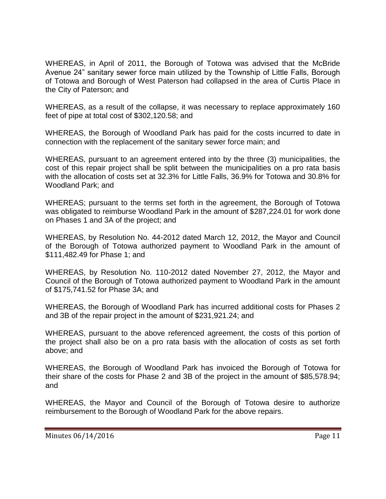WHEREAS, in April of 2011, the Borough of Totowa was advised that the McBride Avenue 24" sanitary sewer force main utilized by the Township of Little Falls, Borough of Totowa and Borough of West Paterson had collapsed in the area of Curtis Place in the City of Paterson; and

WHEREAS, as a result of the collapse, it was necessary to replace approximately 160 feet of pipe at total cost of \$302,120.58; and

WHEREAS, the Borough of Woodland Park has paid for the costs incurred to date in connection with the replacement of the sanitary sewer force main; and

WHEREAS, pursuant to an agreement entered into by the three (3) municipalities, the cost of this repair project shall be split between the municipalities on a pro rata basis with the allocation of costs set at 32.3% for Little Falls, 36.9% for Totowa and 30.8% for Woodland Park; and

WHEREAS; pursuant to the terms set forth in the agreement, the Borough of Totowa was obligated to reimburse Woodland Park in the amount of \$287,224.01 for work done on Phases 1 and 3A of the project; and

WHEREAS, by Resolution No. 44-2012 dated March 12, 2012, the Mayor and Council of the Borough of Totowa authorized payment to Woodland Park in the amount of \$111,482.49 for Phase 1; and

WHEREAS, by Resolution No. 110-2012 dated November 27, 2012, the Mayor and Council of the Borough of Totowa authorized payment to Woodland Park in the amount of \$175,741.52 for Phase 3A; and

WHEREAS, the Borough of Woodland Park has incurred additional costs for Phases 2 and 3B of the repair project in the amount of \$231,921.24; and

WHEREAS, pursuant to the above referenced agreement, the costs of this portion of the project shall also be on a pro rata basis with the allocation of costs as set forth above; and

WHEREAS, the Borough of Woodland Park has invoiced the Borough of Totowa for their share of the costs for Phase 2 and 3B of the project in the amount of \$85,578.94; and

WHEREAS, the Mayor and Council of the Borough of Totowa desire to authorize reimbursement to the Borough of Woodland Park for the above repairs.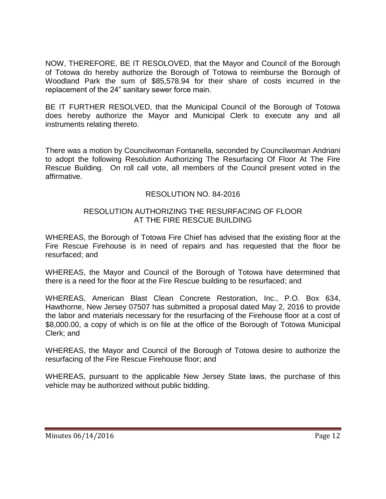NOW, THEREFORE, BE IT RESOLOVED, that the Mayor and Council of the Borough of Totowa do hereby authorize the Borough of Totowa to reimburse the Borough of Woodland Park the sum of \$85,578.94 for their share of costs incurred in the replacement of the 24" sanitary sewer force main.

BE IT FURTHER RESOLVED, that the Municipal Council of the Borough of Totowa does hereby authorize the Mayor and Municipal Clerk to execute any and all instruments relating thereto.

There was a motion by Councilwoman Fontanella, seconded by Councilwoman Andriani to adopt the following Resolution Authorizing The Resurfacing Of Floor At The Fire Rescue Building. On roll call vote, all members of the Council present voted in the affirmative.

# RESOLUTION NO. 84-2016

### RESOLUTION AUTHORIZING THE RESURFACING OF FLOOR AT THE FIRE RESCUE BUILDING

WHEREAS, the Borough of Totowa Fire Chief has advised that the existing floor at the Fire Rescue Firehouse is in need of repairs and has requested that the floor be resurfaced; and

WHEREAS, the Mayor and Council of the Borough of Totowa have determined that there is a need for the floor at the Fire Rescue building to be resurfaced; and

WHEREAS, American Blast Clean Concrete Restoration, Inc., P.O. Box 634, Hawthorne, New Jersey 07507 has submitted a proposal dated May 2, 2016 to provide the labor and materials necessary for the resurfacing of the Firehouse floor at a cost of \$8,000.00, a copy of which is on file at the office of the Borough of Totowa Municipal Clerk; and

WHEREAS, the Mayor and Council of the Borough of Totowa desire to authorize the resurfacing of the Fire Rescue Firehouse floor; and

WHEREAS, pursuant to the applicable New Jersey State laws, the purchase of this vehicle may be authorized without public bidding.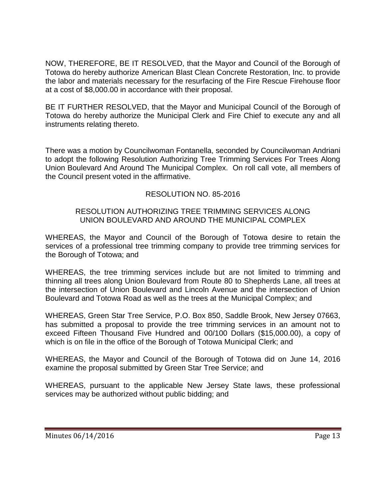NOW, THEREFORE, BE IT RESOLVED, that the Mayor and Council of the Borough of Totowa do hereby authorize American Blast Clean Concrete Restoration, Inc. to provide the labor and materials necessary for the resurfacing of the Fire Rescue Firehouse floor at a cost of \$8,000.00 in accordance with their proposal.

BE IT FURTHER RESOLVED, that the Mayor and Municipal Council of the Borough of Totowa do hereby authorize the Municipal Clerk and Fire Chief to execute any and all instruments relating thereto.

There was a motion by Councilwoman Fontanella, seconded by Councilwoman Andriani to adopt the following Resolution Authorizing Tree Trimming Services For Trees Along Union Boulevard And Around The Municipal Complex. On roll call vote, all members of the Council present voted in the affirmative.

# RESOLUTION NO. 85-2016

### RESOLUTION AUTHORIZING TREE TRIMMING SERVICES ALONG UNION BOULEVARD AND AROUND THE MUNICIPAL COMPLEX

WHEREAS, the Mayor and Council of the Borough of Totowa desire to retain the services of a professional tree trimming company to provide tree trimming services for the Borough of Totowa; and

WHEREAS, the tree trimming services include but are not limited to trimming and thinning all trees along Union Boulevard from Route 80 to Shepherds Lane, all trees at the intersection of Union Boulevard and Lincoln Avenue and the intersection of Union Boulevard and Totowa Road as well as the trees at the Municipal Complex; and

WHEREAS, Green Star Tree Service, P.O. Box 850, Saddle Brook, New Jersey 07663, has submitted a proposal to provide the tree trimming services in an amount not to exceed Fifteen Thousand Five Hundred and 00/100 Dollars (\$15,000.00), a copy of which is on file in the office of the Borough of Totowa Municipal Clerk; and

WHEREAS, the Mayor and Council of the Borough of Totowa did on June 14, 2016 examine the proposal submitted by Green Star Tree Service; and

WHEREAS, pursuant to the applicable New Jersey State laws, these professional services may be authorized without public bidding; and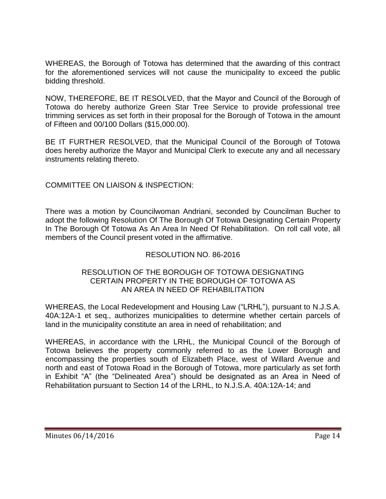WHEREAS, the Borough of Totowa has determined that the awarding of this contract for the aforementioned services will not cause the municipality to exceed the public bidding threshold.

NOW, THEREFORE, BE IT RESOLVED, that the Mayor and Council of the Borough of Totowa do hereby authorize Green Star Tree Service to provide professional tree trimming services as set forth in their proposal for the Borough of Totowa in the amount of Fifteen and 00/100 Dollars (\$15,000.00).

BE IT FURTHER RESOLVED, that the Municipal Council of the Borough of Totowa does hereby authorize the Mayor and Municipal Clerk to execute any and all necessary instruments relating thereto.

# COMMITTEE ON LIAISON & INSPECTION:

There was a motion by Councilwoman Andriani, seconded by Councilman Bucher to adopt the following Resolution Of The Borough Of Totowa Designating Certain Property In The Borough Of Totowa As An Area In Need Of Rehabilitation. On roll call vote, all members of the Council present voted in the affirmative.

# RESOLUTION NO. 86-2016

### RESOLUTION OF THE BOROUGH OF TOTOWA DESIGNATING CERTAIN PROPERTY IN THE BOROUGH OF TOTOWA AS AN AREA IN NEED OF REHABILITATION

WHEREAS, the Local Redevelopment and Housing Law ("LRHL"), pursuant to N.J.S.A. 40A:12A-1 et seq., authorizes municipalities to determine whether certain parcels of land in the municipality constitute an area in need of rehabilitation; and

WHEREAS, in accordance with the LRHL, the Municipal Council of the Borough of Totowa believes the property commonly referred to as the Lower Borough and encompassing the properties south of Elizabeth Place, west of Willard Avenue and north and east of Totowa Road in the Borough of Totowa, more particularly as set forth in Exhibit "A" (the "Delineated Area") should be designated as an Area in Need of Rehabilitation pursuant to Section 14 of the LRHL, to N.J.S.A. 40A:12A-14; and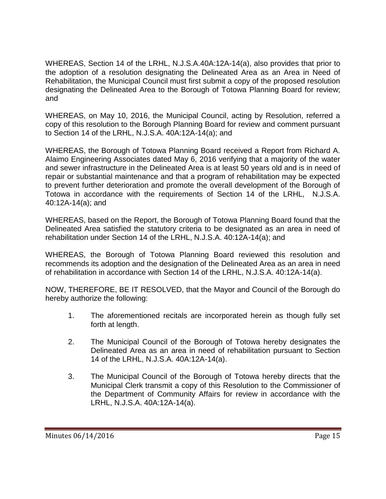WHEREAS, Section 14 of the LRHL, N.J.S.A.40A:12A-14(a), also provides that prior to the adoption of a resolution designating the Delineated Area as an Area in Need of Rehabilitation, the Municipal Council must first submit a copy of the proposed resolution designating the Delineated Area to the Borough of Totowa Planning Board for review; and

WHEREAS, on May 10, 2016, the Municipal Council, acting by Resolution, referred a copy of this resolution to the Borough Planning Board for review and comment pursuant to Section 14 of the LRHL, N.J.S.A. 40A:12A-14(a); and

WHEREAS, the Borough of Totowa Planning Board received a Report from Richard A. Alaimo Engineering Associates dated May 6, 2016 verifying that a majority of the water and sewer infrastructure in the Delineated Area is at least 50 years old and is in need of repair or substantial maintenance and that a program of rehabilitation may be expected to prevent further deterioration and promote the overall development of the Borough of Totowa in accordance with the requirements of Section 14 of the LRHL, N.J.S.A. 40:12A-14(a); and

WHEREAS, based on the Report, the Borough of Totowa Planning Board found that the Delineated Area satisfied the statutory criteria to be designated as an area in need of rehabilitation under Section 14 of the LRHL, N.J.S.A. 40:12A-14(a); and

WHEREAS, the Borough of Totowa Planning Board reviewed this resolution and recommends its adoption and the designation of the Delineated Area as an area in need of rehabilitation in accordance with Section 14 of the LRHL, N.J.S.A. 40:12A-14(a).

NOW, THEREFORE, BE IT RESOLVED, that the Mayor and Council of the Borough do hereby authorize the following:

- 1. The aforementioned recitals are incorporated herein as though fully set forth at length.
- 2. The Municipal Council of the Borough of Totowa hereby designates the Delineated Area as an area in need of rehabilitation pursuant to Section 14 of the LRHL, N.J.S.A. 40A:12A-14(a).
- 3. The Municipal Council of the Borough of Totowa hereby directs that the Municipal Clerk transmit a copy of this Resolution to the Commissioner of the Department of Community Affairs for review in accordance with the LRHL, N.J.S.A. 40A:12A-14(a).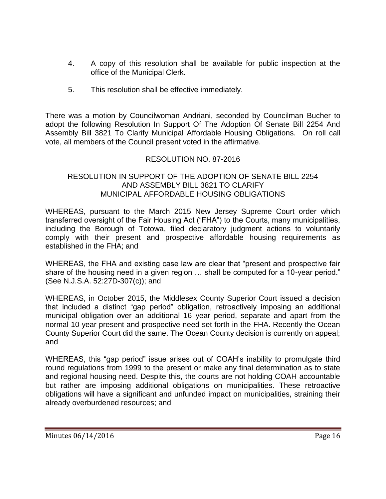- 4. A copy of this resolution shall be available for public inspection at the office of the Municipal Clerk.
- 5. This resolution shall be effective immediately.

There was a motion by Councilwoman Andriani, seconded by Councilman Bucher to adopt the following Resolution In Support Of The Adoption Of Senate Bill 2254 And Assembly Bill 3821 To Clarify Municipal Affordable Housing Obligations. On roll call vote, all members of the Council present voted in the affirmative.

# RESOLUTION NO. 87-2016

### RESOLUTION IN SUPPORT OF THE ADOPTION OF SENATE BILL 2254 AND ASSEMBLY BILL 3821 TO CLARIFY MUNICIPAL AFFORDABLE HOUSING OBLIGATIONS

WHEREAS, pursuant to the March 2015 New Jersey Supreme Court order which transferred oversight of the Fair Housing Act ("FHA") to the Courts, many municipalities, including the Borough of Totowa, filed declaratory judgment actions to voluntarily comply with their present and prospective affordable housing requirements as established in the FHA; and

WHEREAS, the FHA and existing case law are clear that "present and prospective fair share of the housing need in a given region … shall be computed for a 10-year period." (See N.J.S.A. 52:27D-307(c)); and

WHEREAS, in October 2015, the Middlesex County Superior Court issued a decision that included a distinct "gap period" obligation, retroactively imposing an additional municipal obligation over an additional 16 year period, separate and apart from the normal 10 year present and prospective need set forth in the FHA. Recently the Ocean County Superior Court did the same. The Ocean County decision is currently on appeal; and

WHEREAS, this "gap period" issue arises out of COAH's inability to promulgate third round regulations from 1999 to the present or make any final determination as to state and regional housing need. Despite this, the courts are not holding COAH accountable but rather are imposing additional obligations on municipalities. These retroactive obligations will have a significant and unfunded impact on municipalities, straining their already overburdened resources; and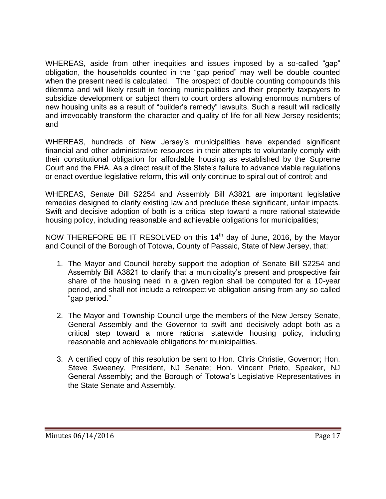WHEREAS, aside from other inequities and issues imposed by a so-called "gap" obligation, the households counted in the "gap period" may well be double counted when the present need is calculated. The prospect of double counting compounds this dilemma and will likely result in forcing municipalities and their property taxpayers to subsidize development or subject them to court orders allowing enormous numbers of new housing units as a result of "builder's remedy" lawsuits. Such a result will radically and irrevocably transform the character and quality of life for all New Jersey residents; and

WHEREAS, hundreds of New Jersey's municipalities have expended significant financial and other administrative resources in their attempts to voluntarily comply with their constitutional obligation for affordable housing as established by the Supreme Court and the FHA. As a direct result of the State's failure to advance viable regulations or enact overdue legislative reform, this will only continue to spiral out of control; and

WHEREAS, Senate Bill S2254 and Assembly Bill A3821 are important legislative remedies designed to clarify existing law and preclude these significant, unfair impacts. Swift and decisive adoption of both is a critical step toward a more rational statewide housing policy, including reasonable and achievable obligations for municipalities;

NOW THEREFORE BE IT RESOLVED on this 14<sup>th</sup> day of June, 2016, by the Mayor and Council of the Borough of Totowa, County of Passaic, State of New Jersey, that:

- 1. The Mayor and Council hereby support the adoption of Senate Bill S2254 and Assembly Bill A3821 to clarify that a municipality's present and prospective fair share of the housing need in a given region shall be computed for a 10-year period, and shall not include a retrospective obligation arising from any so called "gap period."
- 2. The Mayor and Township Council urge the members of the New Jersey Senate, General Assembly and the Governor to swift and decisively adopt both as a critical step toward a more rational statewide housing policy, including reasonable and achievable obligations for municipalities.
- 3. A certified copy of this resolution be sent to Hon. Chris Christie, Governor; Hon. Steve Sweeney, President, NJ Senate; Hon. Vincent Prieto, Speaker, NJ General Assembly; and the Borough of Totowa's Legislative Representatives in the State Senate and Assembly.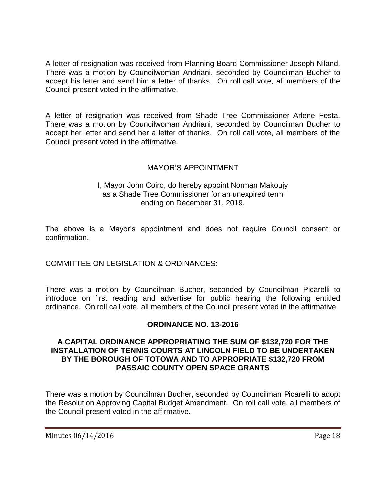A letter of resignation was received from Planning Board Commissioner Joseph Niland. There was a motion by Councilwoman Andriani, seconded by Councilman Bucher to accept his letter and send him a letter of thanks. On roll call vote, all members of the Council present voted in the affirmative.

A letter of resignation was received from Shade Tree Commissioner Arlene Festa. There was a motion by Councilwoman Andriani, seconded by Councilman Bucher to accept her letter and send her a letter of thanks. On roll call vote, all members of the Council present voted in the affirmative.

# MAYOR'S APPOINTMENT

#### I, Mayor John Coiro, do hereby appoint Norman Makoujy as a Shade Tree Commissioner for an unexpired term ending on December 31, 2019.

The above is a Mayor's appointment and does not require Council consent or confirmation.

# COMMITTEE ON LEGISLATION & ORDINANCES:

There was a motion by Councilman Bucher, seconded by Councilman Picarelli to introduce on first reading and advertise for public hearing the following entitled ordinance. On roll call vote, all members of the Council present voted in the affirmative.

#### **ORDINANCE NO. 13-2016**

#### **A CAPITAL ORDINANCE APPROPRIATING THE SUM OF \$132,720 FOR THE INSTALLATION OF TENNIS COURTS AT LINCOLN FIELD TO BE UNDERTAKEN BY THE BOROUGH OF TOTOWA AND TO APPROPRIATE \$132,720 FROM PASSAIC COUNTY OPEN SPACE GRANTS**

There was a motion by Councilman Bucher, seconded by Councilman Picarelli to adopt the Resolution Approving Capital Budget Amendment. On roll call vote, all members of the Council present voted in the affirmative.